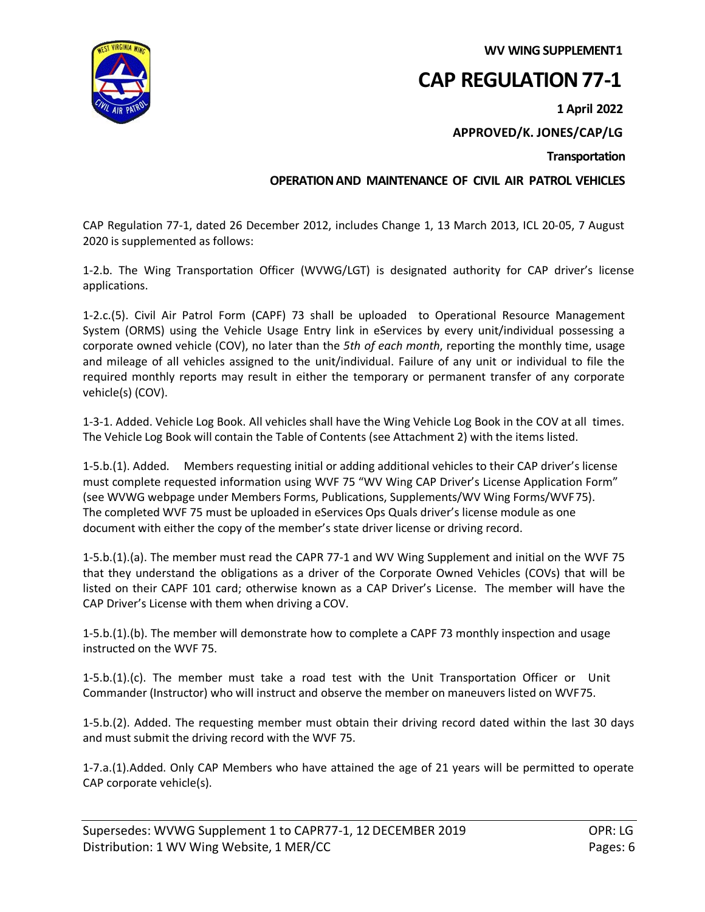**WV WING SUPPLEMENT1**



# **CAP REGULATION 77-1**

**1 April 2022**

# **APPROVED/K. JONES/CAP/LG**

### **Transportation**

### **OPERATION AND MAINTENANCE OF CIVIL AIR PATROL VEHICLES**

CAP Regulation 77-1, dated 26 December 2012, includes Change 1, 13 March 2013, ICL 20-05, 7 August 2020 is supplemented as follows:

1-2.b. The Wing Transportation Officer (WVWG/LGT) is designated authority for CAP driver's license applications.

1-2.c.(5). Civil Air Patrol Form (CAPF) 73 shall be uploaded to Operational Resource Management System (ORMS) using the Vehicle Usage Entry link in eServices by every unit/individual possessing a corporate owned vehicle (COV), no later than the *5th of each month*, reporting the monthly time, usage and mileage of all vehicles assigned to the unit/individual. Failure of any unit or individual to file the required monthly reports may result in either the temporary or permanent transfer of any corporate vehicle(s) (COV).

1-3-1. Added. Vehicle Log Book. All vehicles shall have the Wing Vehicle Log Book in the COV at all times. The Vehicle Log Book will contain the Table of Contents (see Attachment 2) with the items listed.

1-5.b.(1). Added. Members requesting initial or adding additional vehicles to their CAP driver's license must complete requested information using WVF 75 "WV Wing CAP Driver's License Application Form" (see WVWG webpage under Members Forms, Publications, Supplements/WV Wing Forms/WVF75). The completed WVF 75 must be uploaded in eServices Ops Quals driver's license module as one document with either the copy of the member's state driver license or driving record.

1-5.b.(1).(a). The member must read the CAPR 77-1 and WV Wing Supplement and initial on the WVF 75 that they understand the obligations as a driver of the Corporate Owned Vehicles (COVs) that will be listed on their CAPF 101 card; otherwise known as a CAP Driver's License. The member will have the CAP Driver's License with them when driving a COV.

1-5.b.(1).(b). The member will demonstrate how to complete a CAPF 73 monthly inspection and usage instructed on the WVF 75.

1-5.b.(1).(c). The member must take a road test with the Unit Transportation Officer or Unit Commander (Instructor) who will instruct and observe the member on maneuvers listed on WVF75.

1-5.b.(2). Added. The requesting member must obtain their driving record dated within the last 30 days and must submit the driving record with the WVF 75.

1-7.a.(1).Added. Only CAP Members who have attained the age of 21 years will be permitted to operate CAP corporate vehicle(s).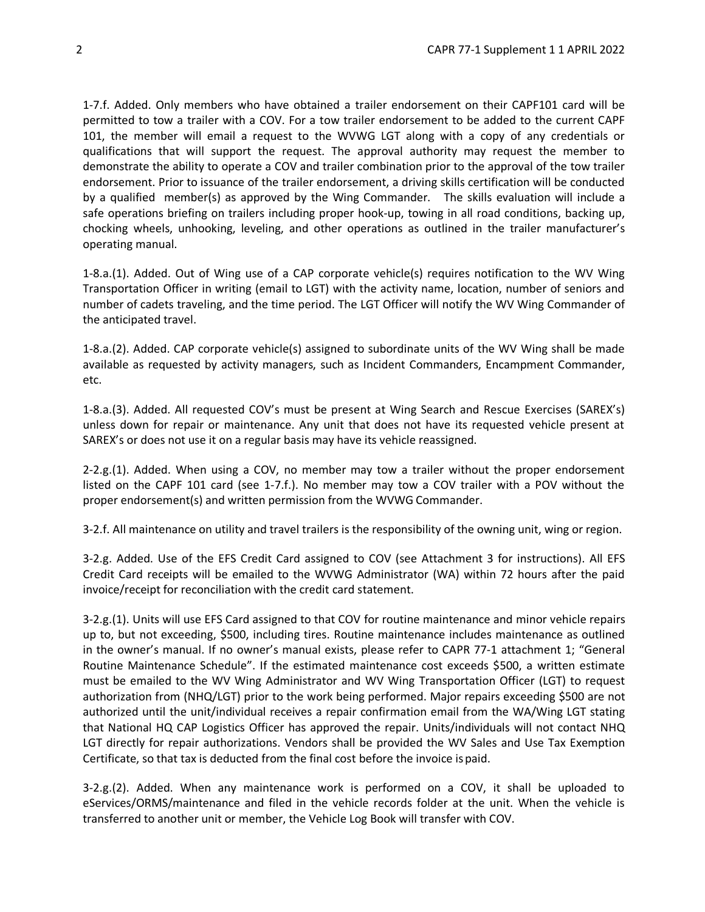1-7.f. Added. Only members who have obtained a trailer endorsement on their CAPF101 card will be permitted to tow a trailer with a COV. For a tow trailer endorsement to be added to the current CAPF 101, the member will email a request to the WVWG LGT along with a copy of any credentials or qualifications that will support the request. The approval authority may request the member to demonstrate the ability to operate a COV and trailer combination prior to the approval of the tow trailer endorsement. Prior to issuance of the trailer endorsement, a driving skills certification will be conducted by a qualified member(s) as approved by the Wing Commander. The skills evaluation will include a safe operations briefing on trailers including proper hook-up, towing in all road conditions, backing up, chocking wheels, unhooking, leveling, and other operations as outlined in the trailer manufacturer's operating manual.

1-8.a.(1). Added. Out of Wing use of a CAP corporate vehicle(s) requires notification to the WV Wing Transportation Officer in writing (email to LGT) with the activity name, location, number of seniors and number of cadets traveling, and the time period. The LGT Officer will notify the WV Wing Commander of the anticipated travel.

1-8.a.(2). Added. CAP corporate vehicle(s) assigned to subordinate units of the WV Wing shall be made available as requested by activity managers, such as Incident Commanders, Encampment Commander, etc.

1-8.a.(3). Added. All requested COV's must be present at Wing Search and Rescue Exercises (SAREX's) unless down for repair or maintenance. Any unit that does not have its requested vehicle present at SAREX's or does not use it on a regular basis may have its vehicle reassigned.

2-2.g.(1). Added. When using a COV, no member may tow a trailer without the proper endorsement listed on the CAPF 101 card (see 1-7.f.). No member may tow a COV trailer with a POV without the proper endorsement(s) and written permission from the WVWG Commander.

3-2.f. All maintenance on utility and travel trailers is the responsibility of the owning unit, wing or region.

3-2.g. Added. Use of the EFS Credit Card assigned to COV (see Attachment 3 for instructions). All EFS Credit Card receipts will be emailed to the WVWG Administrator (WA) within 72 hours after the paid invoice/receipt for reconciliation with the credit card statement.

3-2.g.(1). Units will use EFS Card assigned to that COV for routine maintenance and minor vehicle repairs up to, but not exceeding, \$500, including tires. Routine maintenance includes maintenance as outlined in the owner's manual. If no owner's manual exists, please refer to CAPR 77-1 attachment 1; "General Routine Maintenance Schedule". If the estimated maintenance cost exceeds \$500, a written estimate must be emailed to the WV Wing Administrator and WV Wing Transportation Officer (LGT) to request authorization from (NHQ/LGT) prior to the work being performed. Major repairs exceeding \$500 are not authorized until the unit/individual receives a repair confirmation email from the WA/Wing LGT stating that National HQ CAP Logistics Officer has approved the repair. Units/individuals will not contact NHQ LGT directly for repair authorizations. Vendors shall be provided the WV Sales and Use Tax Exemption Certificate, so that tax is deducted from the final cost before the invoice ispaid.

3-2.g.(2). Added. When any maintenance work is performed on a COV, it shall be uploaded to eServices/ORMS/maintenance and filed in the vehicle records folder at the unit. When the vehicle is transferred to another unit or member, the Vehicle Log Book will transfer with COV.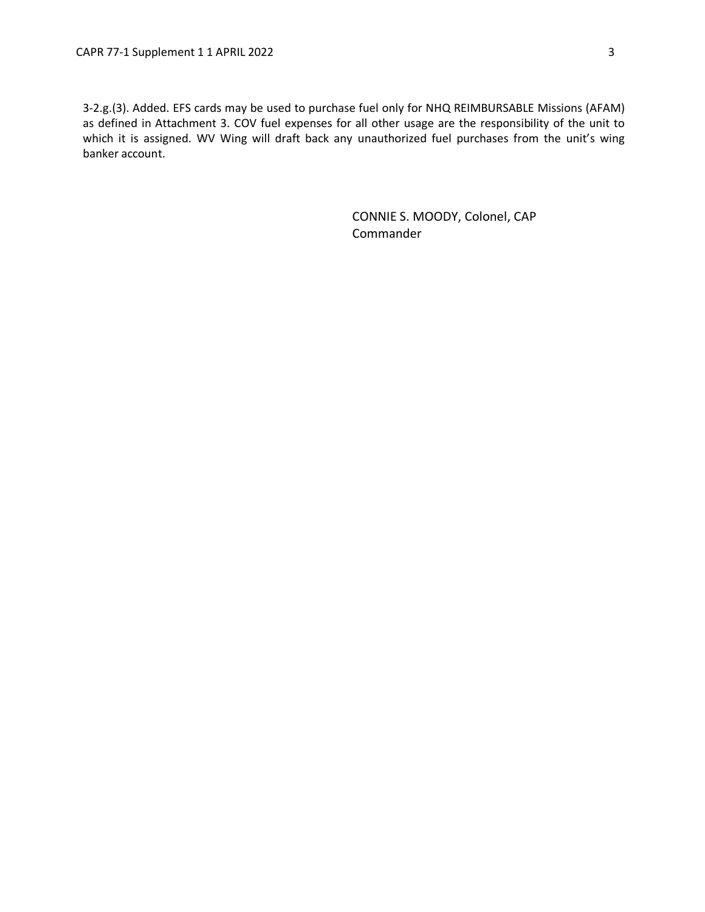3-2.g.(3). Added. EFS cards may be used to purchase fuel only for NHQ REIMBURSABLE Missions (AFAM) as defined in Attachment 3. COV fuel expenses for all other usage are the responsibility of the unit to which it is assigned. WV Wing will draft back any unauthorized fuel purchases from the unit's wing banker account.

> CONNIE S. MOODY, Colonel, CAP Commander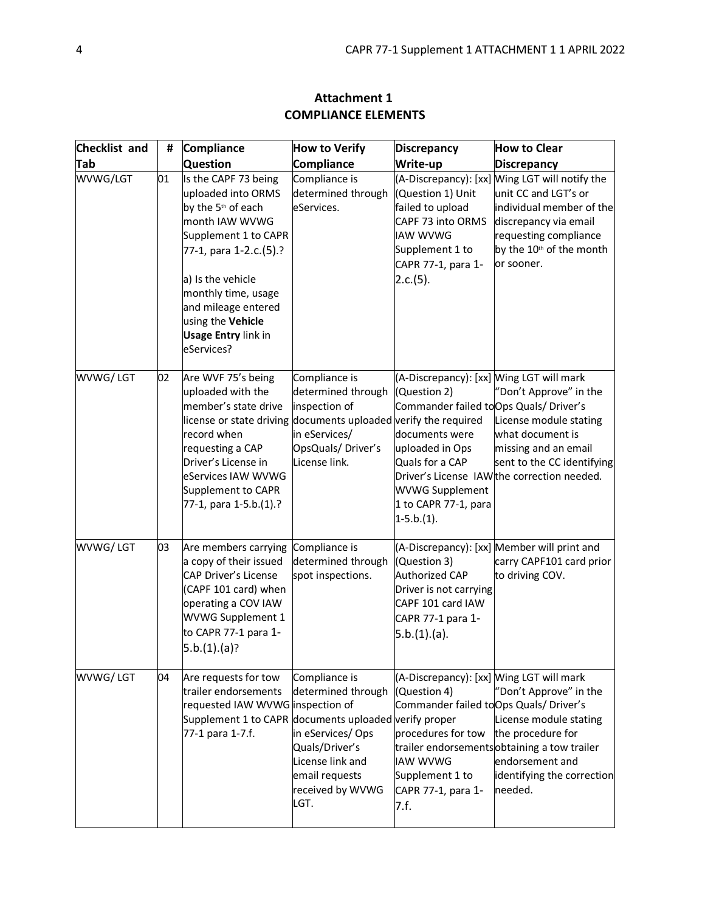| Checklist and | #  | <b>Compliance</b>                                                                                                                                                                                                                                                                    | <b>How to Verify</b>                                                                                                                        | <b>Discrepancy</b>                                                                                                                                                                                                             | <b>How to Clear</b>                                                                                                                                                                                        |
|---------------|----|--------------------------------------------------------------------------------------------------------------------------------------------------------------------------------------------------------------------------------------------------------------------------------------|---------------------------------------------------------------------------------------------------------------------------------------------|--------------------------------------------------------------------------------------------------------------------------------------------------------------------------------------------------------------------------------|------------------------------------------------------------------------------------------------------------------------------------------------------------------------------------------------------------|
| Tab           |    | <b>Question</b>                                                                                                                                                                                                                                                                      | Compliance                                                                                                                                  | Write-up                                                                                                                                                                                                                       | <b>Discrepancy</b>                                                                                                                                                                                         |
| WVWG/LGT      | 01 | Is the CAPF 73 being<br>uploaded into ORMS<br>by the 5 <sup>th</sup> of each<br>month IAW WVWG<br>Supplement 1 to CAPR<br>77-1, para 1-2.c.(5).?<br>a) Is the vehicle<br>monthly time, usage<br>and mileage entered<br>using the Vehicle<br><b>Usage Entry link in</b><br>eServices? | Compliance is<br>determined through<br>eServices.                                                                                           | (Question 1) Unit<br>failed to upload<br>CAPF 73 into ORMS<br><b>IAW WVWG</b><br>Supplement 1 to<br>CAPR 77-1, para 1-<br>2.c.(5).                                                                                             | (A-Discrepancy): [xx] Wing LGT will notify the<br>unit CC and LGT's or<br>individual member of the<br>discrepancy via email<br>requesting compliance<br>by the 10 <sup>th</sup> of the month<br>or sooner. |
| WVWG/LGT      | 02 | Are WVF 75's being<br>uploaded with the<br>member's state drive<br>license or state driving documents uploaded verify the required<br>record when<br>requesting a CAP<br>Driver's License in<br>eServices IAW WVWG<br>Supplement to CAPR<br>77-1, para 1-5.b.(1).?                   | Compliance is<br>determined through<br>inspection of<br>in eServices/<br>OpsQuals/Driver's<br>License link.                                 | (A-Discrepancy): [xx] Wing LGT will mark<br>(Question 2)<br>Commander failed to Ops Quals/ Driver's<br>documents were<br>uploaded in Ops<br>Quals for a CAP<br><b>WVWG Supplement</b><br>1 to CAPR 77-1, para<br>$1-5.b.(1)$ . | "Don't Approve" in the<br>License module stating<br>what document is<br>missing and an email<br>sent to the CC identifying<br>Driver's License IAW the correction needed.                                  |
| WVWG/LGT      | 03 | Are members carrying<br>a copy of their issued<br><b>CAP Driver's License</b><br>(CAPF 101 card) when<br>operating a COV IAW<br>WVWG Supplement 1<br>to CAPR 77-1 para 1-<br>5.b.(1).(a)?                                                                                            | Compliance is<br>determined through<br>spot inspections.                                                                                    | (Question 3)<br>Authorized CAP<br>Driver is not carrying<br>CAPF 101 card IAW<br>CAPR 77-1 para 1-<br>5.b.(1).(a).                                                                                                             | (A-Discrepancy): [xx] Member will print and<br>carry CAPF101 card prior<br>to driving COV.                                                                                                                 |
| WVWG/LGT      | 04 | Are requests for tow<br>trailer endorsements<br>requested IAW WVWG inspection of<br>Supplement 1 to CAPR documents uploaded verify proper<br>77-1 para 1-7.f.                                                                                                                        | Compliance is<br>determined through<br>in eServices/Ops<br>Quals/Driver's<br>License link and<br>email requests<br>received by WVWG<br>LGT. | (A-Discrepancy): [xx] Wing LGT will mark<br>(Question 4)<br>Commander failed to Ops Quals/ Driver's<br>procedures for tow<br><b>IAW WVWG</b><br>Supplement 1 to<br>CAPR 77-1, para 1-<br>7.f.                                  | "Don't Approve" in the<br>License module stating<br>the procedure for<br>trailer endorsementsobtaining a tow trailer<br>endorsement and<br>identifying the correction<br>needed.                           |

# **Attachment 1 COMPLIANCE ELEMENTS**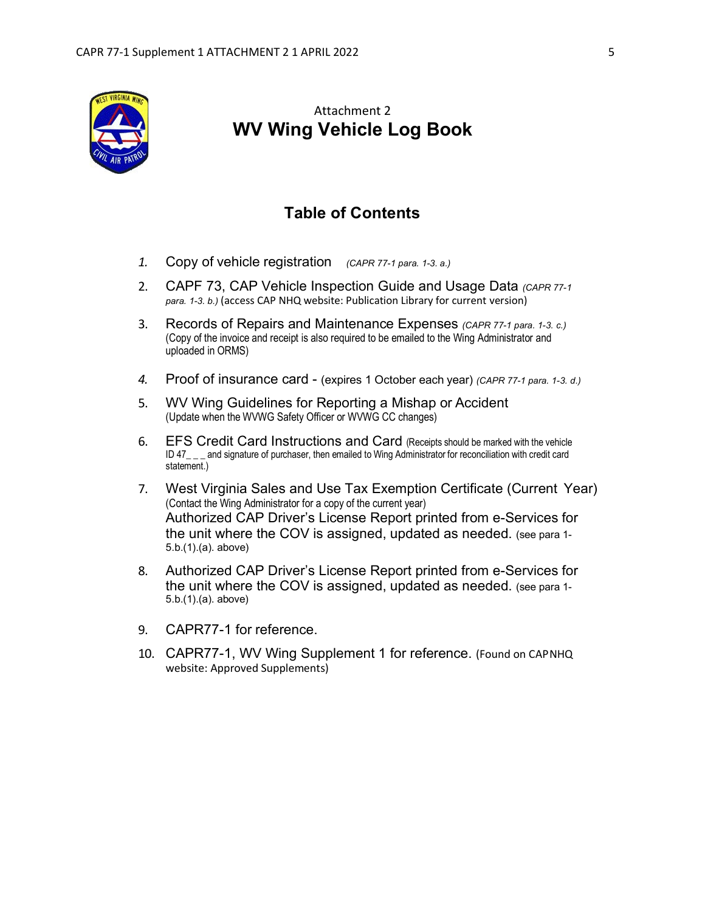

# Attachment 2 **WV Wing Vehicle Log Book**

# **Table of Contents**

- *1.* Copy of vehicle registration *(CAPR 77-1 para. 1-3. a.)*
- 2. CAPF 73, CAP Vehicle Inspection Guide and Usage Data *(CAPR 77-1 para. 1-3. b.)* (access CAP NHQ website: Publication Library for current version)
- 3. Records of Repairs and Maintenance Expenses *(CAPR 77-1 para. 1-3. c.)* (Copy of the invoice and receipt is also required to be emailed to the Wing Administrator and uploaded in ORMS)
- *4.* Proof of insurance card (expires 1 October each year) *(CAPR 77-1 para. 1-3. d.)*
- 5. WV Wing Guidelines for Reporting a Mishap or Accident (Update when the WVWG Safety Officer or WVWG CC changes)
- 6. EFS Credit Card Instructions and Card (Receipts should be marked with the vehicle ID 47\_\_\_ and signature of purchaser, then emailed to Wing Administrator for reconciliation with credit card statement.)
- 7. West Virginia Sales and Use Tax Exemption Certificate (Current Year) (Contact the Wing Administrator for a copy of the current year) Authorized CAP Driver's License Report printed from e-Services for the unit where the COV is assigned, updated as needed. (see para 1- 5.b.(1).(a). above)
- 8. Authorized CAP Driver's License Report printed from e-Services for the unit where the COV is assigned, updated as needed. (see para 1- 5.b.(1).(a). above)
- 9. CAPR77-1 for reference.
- 10. CAPR77-1, WV Wing Supplement 1 for reference. (Found on CAPNHQ website: Approved Supplements)